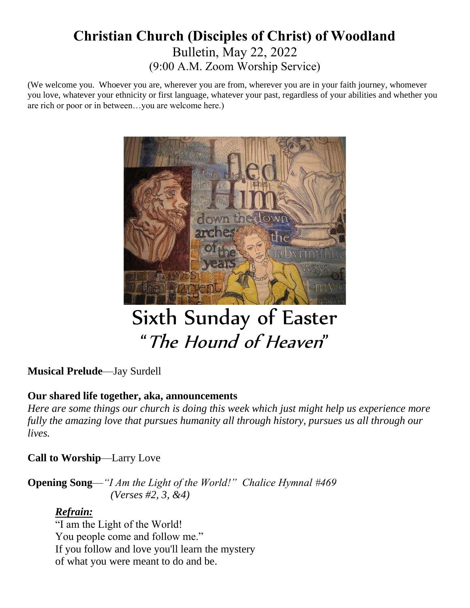# **Christian Church (Disciples of Christ) of Woodland** Bulletin, May 22, 2022 (9:00 A.M. Zoom Worship Service)

(We welcome you. Whoever you are, wherever you are from, wherever you are in your faith journey, whomever you love, whatever your ethnicity or first language, whatever your past, regardless of your abilities and whether you are rich or poor or in between…you are welcome here.)



"The Hound of Heaven"

## **Musical Prelude**—Jay Surdell

#### **Our shared life together, aka, announcements**

*Here are some things our church is doing this week which just might help us experience more fully the amazing love that pursues humanity all through history, pursues us all through our lives.*

**Call to Worship**—Larry Love

**Opening Song**—*"I Am the Light of the World!" Chalice Hymnal #469 (Verses #2, 3, &4)*

## *Refrain:*

"I am the Light of the World! You people come and follow me." If you follow and love you'll learn the mystery of what you were meant to do and be.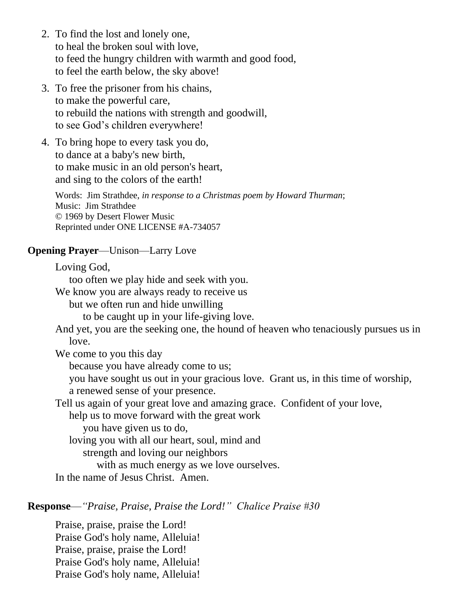- 2. To find the lost and lonely one, to heal the broken soul with love, to feed the hungry children with warmth and good food, to feel the earth below, the sky above!
- 3. To free the prisoner from his chains, to make the powerful care, to rebuild the nations with strength and goodwill, to see God's children everywhere!
- 4. To bring hope to every task you do, to dance at a baby's new birth, to make music in an old person's heart, and sing to the colors of the earth!

Words: Jim Strathdee, *in response to a Christmas poem by Howard Thurman*; Music: Jim Strathdee © 1969 by Desert Flower Music Reprinted under ONE LICENSE #A-734057

#### **Opening Prayer**—Unison—Larry Love

Loving God,

too often we play hide and seek with you.

We know you are always ready to receive us

but we often run and hide unwilling

to be caught up in your life-giving love.

And yet, you are the seeking one, the hound of heaven who tenaciously pursues us in love.

We come to you this day

because you have already come to us;

you have sought us out in your gracious love. Grant us, in this time of worship, a renewed sense of your presence.

Tell us again of your great love and amazing grace. Confident of your love,

help us to move forward with the great work

you have given us to do,

loving you with all our heart, soul, mind and

strength and loving our neighbors

with as much energy as we love ourselves.

In the name of Jesus Christ. Amen.

#### **Response**—*"Praise, Praise, Praise the Lord!" Chalice Praise #30*

Praise, praise, praise the Lord! Praise God's holy name, Alleluia! Praise, praise, praise the Lord! Praise God's holy name, Alleluia! Praise God's holy name, Alleluia!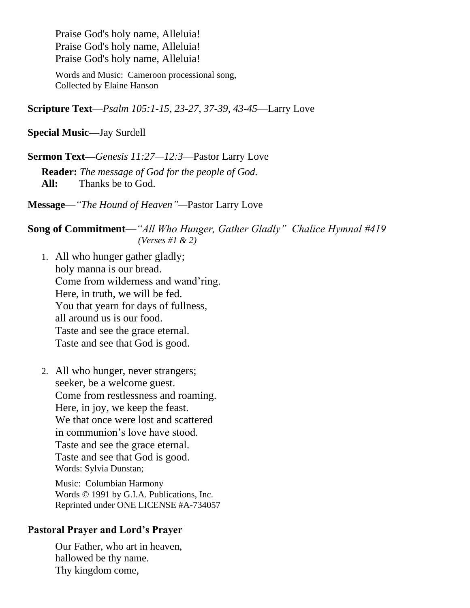Praise God's holy name, Alleluia! Praise God's holy name, Alleluia! Praise God's holy name, Alleluia!

Words and Music: Cameroon processional song, Collected by Elaine Hanson

**Scripture Text**—*Psalm 105:1-15, 23-27, 37-39, 43-45*—Larry Love

**Special Music—**Jay Surdell

**Sermon Text—***Genesis 11:27—12:3*—Pastor Larry Love **Reader:** *The message of God for the people of God.* **All:** Thanks be to God.

**Message**—*"The Hound of Heaven"—*Pastor Larry Love

**Song of Commitment**—*"All Who Hunger, Gather Gladly" Chalice Hymnal #419 (Verses #1 & 2)*

- 1. All who hunger gather gladly; holy manna is our bread. Come from wilderness and wand'ring. Here, in truth, we will be fed. You that yearn for days of fullness, all around us is our food. Taste and see the grace eternal. Taste and see that God is good.
- 2. All who hunger, never strangers; seeker, be a welcome guest. Come from restlessness and roaming. Here, in joy, we keep the feast. We that once were lost and scattered in communion's love have stood. Taste and see the grace eternal. Taste and see that God is good. Words: Sylvia Dunstan;

Music: Columbian Harmony Words © 1991 by G.I.A. Publications, Inc. Reprinted under ONE LICENSE #A-734057

#### **Pastoral Prayer and Lord's Prayer**

Our Father, who art in heaven, hallowed be thy name. Thy kingdom come,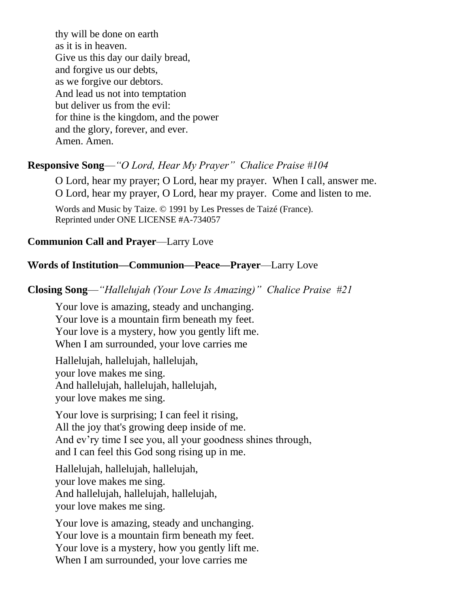thy will be done on earth as it is in heaven. Give us this day our daily bread, and forgive us our debts, as we forgive our debtors. And lead us not into temptation but deliver us from the evil: for thine is the kingdom, and the power and the glory, forever, and ever. Amen. Amen.

#### **Responsive Song**—*"O Lord, Hear My Prayer" Chalice Praise #104*

O Lord, hear my prayer; O Lord, hear my prayer. When I call, answer me. O Lord, hear my prayer, O Lord, hear my prayer. Come and listen to me.

Words and Music by Taize. © 1991 by Les Presses de Taizé (France). Reprinted under ONE LICENSE #A-734057

#### **Communion Call and Prayer**—Larry Love

#### W**ords of Institution—Communion—Peace—Prayer**—Larry Love

**Closing Song**—*"Hallelujah (Your Love Is Amazing)" Chalice Praise #21*

Your love is amazing, steady and unchanging. Your love is a mountain firm beneath my feet. Your love is a mystery, how you gently lift me. When I am surrounded, your love carries me

Hallelujah, hallelujah, hallelujah, your love makes me sing. And hallelujah, hallelujah, hallelujah, your love makes me sing.

Your love is surprising; I can feel it rising, All the joy that's growing deep inside of me. And ev'ry time I see you, all your goodness shines through, and I can feel this God song rising up in me.

Hallelujah, hallelujah, hallelujah, your love makes me sing. And hallelujah, hallelujah, hallelujah, your love makes me sing.

Your love is amazing, steady and unchanging. Your love is a mountain firm beneath my feet. Your love is a mystery, how you gently lift me. When I am surrounded, your love carries me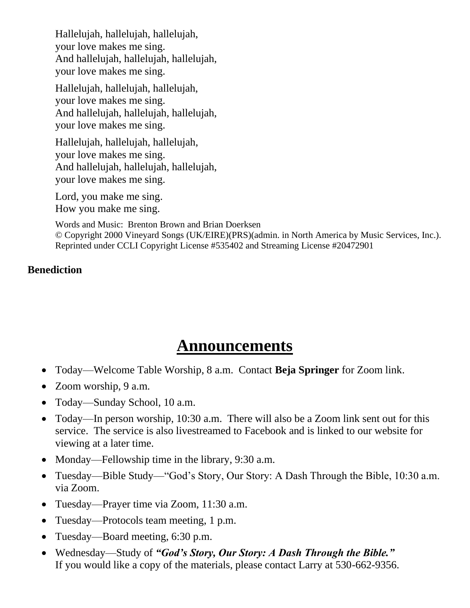Hallelujah, hallelujah, hallelujah, your love makes me sing. And hallelujah, hallelujah, hallelujah, your love makes me sing.

Hallelujah, hallelujah, hallelujah, your love makes me sing. And hallelujah, hallelujah, hallelujah, your love makes me sing.

Hallelujah, hallelujah, hallelujah, your love makes me sing. And hallelujah, hallelujah, hallelujah, your love makes me sing.

Lord, you make me sing. How you make me sing.

Words and Music: Brenton Brown and Brian Doerksen © Copyright 2000 Vineyard Songs (UK/EIRE)(PRS)(admin. in North America by Music Services, Inc.). Reprinted under CCLI Copyright License #535402 and Streaming License #20472901

## **Benediction**

# **Announcements**

- Today—Welcome Table Worship, 8 a.m. Contact **Beja Springer** for Zoom link.
- Zoom worship, 9 a.m.
- Today—Sunday School, 10 a.m.
- Today—In person worship, 10:30 a.m. There will also be a Zoom link sent out for this service. The service is also livestreamed to Facebook and is linked to our website for viewing at a later time.
- Monday—Fellowship time in the library, 9:30 a.m.
- Tuesday—Bible Study—"God's Story, Our Story: A Dash Through the Bible, 10:30 a.m. via Zoom.
- Tuesday—Prayer time via Zoom, 11:30 a.m.
- Tuesday—Protocols team meeting, 1 p.m.
- Tuesday—Board meeting, 6:30 p.m.
- Wednesday—Study of *"God's Story, Our Story: A Dash Through the Bible."* If you would like a copy of the materials, please contact Larry at 530-662-9356.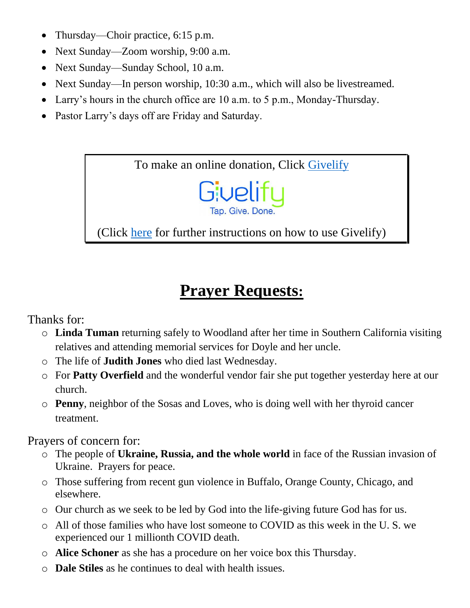- Thursday—Choir practice, 6:15 p.m.
- Next Sunday—Zoom worship, 9:00 a.m.
- Next Sunday—Sunday School, 10 a.m.
- Next Sunday—In person worship, 10:30 a.m., which will also be livestreamed.
- Larry's hours in the church office are 10 a.m. to 5 p.m., Monday-Thursday.
- Pastor Larry's days off are Friday and Saturday.





(Click [here](file:///H:/Oak%20Leaflet/GIVELIFY.pdf) for further instructions on how to use Givelify)

# **Prayer Requests:**

Thanks for:

- o **Linda Tuman** returning safely to Woodland after her time in Southern California visiting relatives and attending memorial services for Doyle and her uncle.
- o The life of **Judith Jones** who died last Wednesday.
- o For **Patty Overfield** and the wonderful vendor fair she put together yesterday here at our church.
- o **Penny**, neighbor of the Sosas and Loves, who is doing well with her thyroid cancer treatment.

Prayers of concern for:

- o The people of **Ukraine, Russia, and the whole world** in face of the Russian invasion of Ukraine. Prayers for peace.
- o Those suffering from recent gun violence in Buffalo, Orange County, Chicago, and elsewhere.
- o Our church as we seek to be led by God into the life-giving future God has for us.
- o All of those families who have lost someone to COVID as this week in the U. S. we experienced our 1 millionth COVID death.
- o **Alice Schoner** as she has a procedure on her voice box this Thursday.
- o **Dale Stiles** as he continues to deal with health issues.